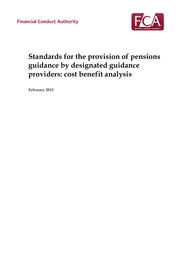**Financial Conduct Authority** 



# **Standards for the provision of pensions guidance by designated guidance providers: cost benefit analysis**

**February 2015**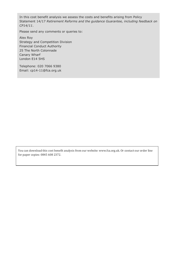In this cost benefit analysis we assess the costs and benefits arising from Policy Statement 14/17 *Retirement Reforms and the guidance Guarantee, including feedback on CP14/11*.

Please send any comments or queries to:

Alex Roy Strategy and Competition Division Financial Conduct Authority 25 The North Colonnade Canary Wharf London E14 5HS

Telephone: 020 7066 9380 Email: cp14-11@fca.org.uk

You can download this cost benefit analysis from our website: www.fca.org.uk. Or contact our order line for paper copies: 0845 608 2372.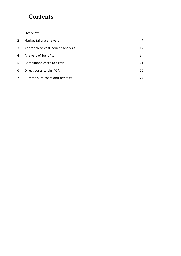# **Contents**

| $\mathbf{1}$   | Overview                          | 5. |
|----------------|-----------------------------------|----|
| $\overline{2}$ | Market failure analysis           | 7  |
| 3              | Approach to cost benefit analysis | 12 |
| 4              | Analysis of benefits              | 14 |
| 5              | Compliance costs to firms         | 21 |
| 6              | Direct costs to the FCA           | 23 |
| 7              | Summary of costs and benefits     | 24 |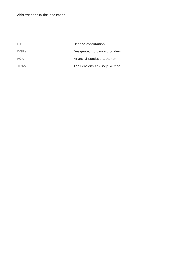| DC          | Defined contribution               |
|-------------|------------------------------------|
| <b>DGPs</b> | Designated guidance providers      |
| <b>FCA</b>  | <b>Financial Conduct Authority</b> |
| <b>TPAS</b> | The Pensions Advisory Service      |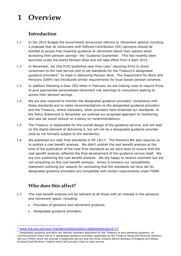# <span id="page-4-0"></span>**1 Overview**

## **Introduction**

- 1.1 In the 2014 Budget the Government announced reforms to retirement options including a proposal that all consumers with Defined Contribution (DC) pensions should be entitled to access free impartial guidance at retirement about their options when accessing their pension savings– the 'Guidance Guarantee'. This has recently been launched under the brand Pension Wise and will take effect from 6 April 2015.
- 1.2 In November, we (the FCA) published near final rules<sup>1</sup> requiring firms to direct consumers to the new service and to set standards for the Treasury's designated guidance providers<sup>2</sup> to meet in delivering Pension Wise. The Department for Work and Pensions (DWP) has introduced similar requirements for trust-based pension schemes.
- 1.3 In addition following a Dear CEO letter in February we are making rules to require firms to give appropriate personalised retirement risk warnings to consumers seeking to access their pension savings.
- 1.4 We are also required to monitor the designated guidance providers' compliance with these standards and to make recommendations to the designated guidance providers and the Treasury, where necessary, when providers have breached our standards. In the Policy Statement in November we outlined our proposed approach to monitoring and said we would consult on a policy on recommendations.
- 1.5 The Treasury is responsible for the overall design of the guidance service, and will lead on the digital element of delivering it, but will not be a designated guidance provider (and so not formally subject to the standards).
- 1.6 We published our near final standards in PS 14/17. The Pensions Bill also requires us to publish a cost benefit analysis. We didn't publish the cost benefit analysis at the time of the publication of the near final standards as we were keen to ensure that the cost benefit analysis reflected the final development of the guidance service itself. We are now publishing the cost benefit analysis. We are happy to receive comment but are not consulting on this cost benefit analysis. Annex A contains our compatibility statement outlining our reasons for concluding that the standards we have set for designated guidance providers are compatible with certain requirements under FSMA.

## **Who does this affect?**

- 1.7 This cost benefit analysis will be relevant to all those with an interest in the pensions and retirement space, including:
	- Providers of pensions and retirement products.
	- Designated guidance providers.

 $\overline{a}$ [www.fca.org.uk/your-fca/documents/policy-statements/ps14-17](http://recmgmt.is.fsa.gov.uk/livelink/livelink/30948855/www.fca.org.uk/your-fca/documents/policy-statements/ps14-17)

<sup>&</sup>lt;sup>2</sup> Designated guidance providers are delivery partners appointed by the Treasury to give pensions guidance. At commencement there will be 4 designated guidance providers appointed by the Treasury being the Pensions Advisory Service (TPAS) which will provide a telephone service and the three Citizens Advice Bureaus of England and Wales, Scotland and Northern Ireland which will provide a face to face service.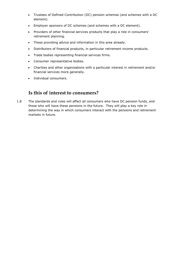- Trustees of Defined Contribution (DC) pension schemes (and schemes with a DC element).
- Employer sponsors of DC schemes (and schemes with a DC element).
- Providers of other financial services products that play a role in consumers' retirement planning.
- Those providing advice and information in this area already.
- Distributors of financial products, in particular retirement income products.
- Trade bodies representing financial services firms.
- Consumer representative bodies.
- Charities and other organisations with a particular interest in retirement and/or financial services more generally.
- Individual consumers.

## **Is this of interest to consumers?**

1.8 The standards and rules will affect all consumers who have DC pension funds, and those who will have these pensions in the future. They will play a key role in determining the way in which consumers interact with the pensions and retirement markets in future.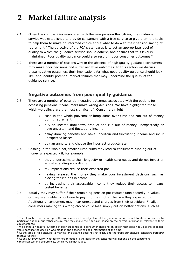# <span id="page-6-0"></span>**2 Market failure analysis**

- 2.1 Given the complexities associated with the new pension flexibilities, the guidance service was established to provide consumers with a free service to give them the tools to help them to make an informed choice about what to do with their pension saving at retirement.<sup>3</sup> The objective of the FCA's standards is to set an appropriate level of quality to which the guidance service should adhere, and ensure that this level is maintained. Poor quality guidance could also result in poor consumer outcomes.<sup>4</sup>
- 2.2 There are a number of reasons why in the absence of high quality guidance consumers may make poor decisions and suffer negative outcomes. In this section we discuss these negative outcomes, their implications for what good quality guidance should look like, and identify potential market failures that may undermine the quality of the guidance service.<sup>5</sup>

### **Negative outcomes from poor quality guidance**

- 2.3 There are a number of potential negative outcomes associated with the options for accessing pensions if consumers make wrong decisions. We have highlighted those which we believe are the most significant. $^6$  Consumers might:
	- cash in the whole pot/smaller lump sums over time and run out of money during retirement
	- buy an income drawdown product and run out of money unexpectedly or have uncertain and fluctuating income
	- delay drawing benefits and have uncertain and fluctuating income and incur unexpected losses
	- buy an annuity and choose the incorrect product/rate
- 2.4 Cashing in the whole pot/smaller lump sums may lead to consumers running out of money unexpectedly if, for example:
	- they underestimate their longevity or health care needs and do not invest or adjust spending accordingly
	- tax implications reduce their expected pot

 $\overline{a}$ 

- having released the money they make poor investment decisions such as placing their funds in scams
- by increasing their assessable income they reduce their access to means tested benefits.
- 2.5 Equally they may suffer if their remaining pension pot reduces unexpectedly in value, or they are unable to continue to pay into their pot at the rate they expected to. Additionally, consumers may incur unexpected charges from their providers. Finally, consumers making this wrong choice could lose simply out on better options, such as:

<sup>&</sup>lt;sup>3</sup> The ultimate choices are up to the consumer and the objective of the guidance service is not to steer consumers to particular options, but rather ensure that they make their decision based on the correct information relevant to their circumstances.

<sup>4</sup> We define a negative outcome of poor guidance as a consumer choosing an option that does not yield the expected value because the decision was made in the absence of good information at the time.

<sup>5</sup> At the time of this analysis, a market for guidance does not yet exist, and therefore our analysis considers *potential*  market failures.

 $6$  As set out previously, whether or not an option is the best for the consumer will depend on the consumers' circumstances and preferences, which we cannot judge.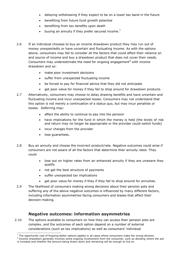- delaying withdrawing if they expect to be on a lower tax band in the future
- benefiting from future fund growth potential
- benefiting from tax benefits upon death
- buying an annuity if they prefer secured income.<sup>7</sup>
- 2.6 If an individual chooses to buy an income drawdown product they may run out of money unexpectedly or have uncertain and fluctuating income. As with the options above, consumers may fail to consider all the factors that could affect their reliance on and source of income and buy a drawdown product that does not cover their needs. Consumers may underestimate the need for ongoing engagement<sup>8</sup> with income drawdown and so:
	- make poor investment decisions
	- suffer from unexpected fluctuating income
	- be forced to pay for financial advice that they did not anticipate
	- e get poor value for money if they fail to shop around for drawdown products.
- 2.7 Alternatively, consumers may choose to delay drawing benefits and have uncertain and fluctuating income and incur unexpected losses. Consumers may not understand that this option is not merely a continuation of a status quo, but may incur penalties or losses. Deferring may:
	- affect the ability to continue to pay into the pension
	- have implications for the fund in which the money is held (the levels of risk and return may no longer be appropriate or the provider could switch funds)
	- incur charges from the provider
	- lose guarantees.

 $\overline{a}$ 

- 2.8 Buy an annuity and choose the incorrect product/rate. Negative outcomes could arise if consumers are not aware of all the factors that determine their annuity rates. They could
	- lose out on higher rates from an enhanced annuity if they are unaware they qualify
	- not get the best structure of payments
	- suffer unexpected tax implications
	- get poor value for money if they if they fail to shop around for annuities.
- 2.9 The likelihood of consumers making wrong decisions about their pension pots and suffering any of the above negative outcomes is influenced by many different factors, including information asymmetries facing consumers and biases that affect their decision-making.

### **Negative outcomes: information asymmetries**

2.10 The options available to consumers on how they can access their pension pots are complex, and the outcomes of each option depend on a number of external considerations (such as tax implications) as well as consumers' individual

 $<sup>7</sup>$  The opportunity cost of forgoing better options applies in all cases where consumers make the wrong decision.</sup>

<sup>&</sup>lt;sup>8</sup> Income drawdown generally involves some ongoing involvement from the consumer, such as deciding where the pot is invested and whether the amount being drawn down and remaining will be enough to live on.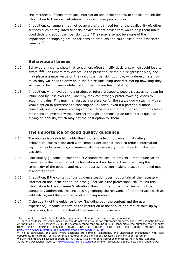circumstances. If consumers lack information about the options, or the skill to link this information to their own situations, they can make poor choices.

2.11 In addition, consumers may not be aware of their need for, or the availability of, other services such as regulated financial advice or debt advice that would help them make good decisions about their pension pots. $9$  They may also not be aware of the importance of shopping around for pension products and could lose out on associated benefits.<sup>10</sup>

### **Behavioural biases**

- 2.12 Behavioural insights show that consumers often simplify decisions, which could lead to errors. $11,12$  Consumers may overvalue the present over the future (present bias) and may place a greater value on the use of their pension pot now, or underestimate how much they will need to draw on in the future (including underestimating how long they will live, or being over-confident about their future health status).
- 2.13 In addition, when evaluating a product or future prospects, people's assessment can be influenced by 'loss aversion', whereby they can strongly prefer avoiding losses to acquiring gains. This may manifest as a preference for the status quo – staying with a known option in preference to choosing an unknown, even if a potentially more beneficial, one. Consumers facing complex decisions about their pension pot may leave their pension invested without further thought, or choose a de facto status quo like buying an annuity, which may not the best option for them.

## **The importance of good quality guidance**

- 2.14 The above discussion highlights the important role of guidance in mitigating behavioural biases associated with complex decisions it can also reduce information asymmetries by providing consumers with the necessary information to make good decisions.
- 2.15 Poor quality guidance which the FCA standards seek to prevent that is unclear or overwhelms the consumer with information will not be effective in reducing the complexity of the options and may not address decision-making biases (or indeed may exacerbate them).
- 2.16 In addition, if the content of the guidance session does not contain all the necessary information about the option, or if the guider lacks the professional skill to link this information to the consumer's situation, then information symmetries will not be adequately addressed. This includes highlighting the relevance of other services such as debt advice, and the importance of shopping around.
- 2.17 If the quality of the guidance is low (including both the content and the user experience), it could undermine the reputation of the service and reduce take-up by consumers, limiting the extent of the benefits of the service.

 $\overline{a}$ <sup>9</sup> For example, the implications for debt repayments of taking a lump sum from the pension.

<sup>&</sup>lt;sup>10</sup> There is evidence that consumers currently do not shop around for retirement products. The FCA's Thematic Review of Annuities (TR14/2 February 2014), for example, found that around 80% of consumers who purchase their annuity<br>from their existing provider could get a better deal on the open market. See from their existing provider could get a better deal on the open market. See <http://www.fca.org.uk/static/documents/thematic-reviews/tr14-02.pdf>

 $11$  This is particularly the case where decisions are complex, emotional, and undertaken infrequently with little opportunity for learning –all characteristic features of decisions about accessing pensions upon retirement.  $12$  Such insights are discussed in depth in: FCA (2013) 'Applying behavioural economics at the Financial Conduct Authority', Occasional Paper 1, [http://www.fca.org.uk/static/d](http://www.fca.org.uk/static/)ocuments/ occasional papers/ occasional-paper-1.pdf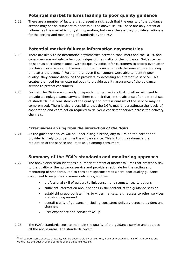### **Potential market failures leading to poor quality guidance**

2.18 There are a number of factors that present a risk, such that the quality of the guidance service may not be sufficient to address all the above issues. These are only potential failures, as the market is not yet in operation, but nevertheless they provide a rationale for the setting and monitoring of standards by the FCA.

#### **Potential market failures: information asymmetries**

- 2.19 There are likely to be information asymmetries between consumers and the DGPs, and consumers are unlikely to be good judges of the quality of the guidance. Guidance can be seen as a 'credence' good, with its quality difficult for customers to assess even after purchase. For example, outcomes from the guidance will only become apparent a long time after the event.<sup>13</sup> Furthermore, even if consumers were able to identify poor quality, they cannot discipline the providers by accessing an alternative service. This creates the need for an external body to provide quality assurance of the guidance service to protect consumers.
- 2.20 Further, the DGPs are currently independent organisations that together will need to provide a single guidance service. There is a risk that, in the absence of an external set of standards, the consistency of the quality and professionalism of the service may be compromised. There is also a possibility that the DGPs may underestimate the levels of cooperation and coordination required to deliver a consistent service across the delivery channels.

#### *Externalities arising from the interaction of the DGPs*

2.21 As the guidance service will be under a single brand, any failure on the part of one provider is likely to undermine the whole service. This in turn may damage the reputation of the service and its take-up among consumers.

### **Summary of the FCA's standards and monitoring approach**

- 2.22 The above discussion identifies a number of potential market failures that present a risk to the quality of the guidance service and provide a rationale for the setting and monitoring of standards. It also considers specific areas where poor quality guidance could lead to negative consumer outcomes, such as:
	- professional skill of guiders to link consumer circumstances to options
	- sufficient information about options in the content of the guidance session
	- establishing appropriate links to wider markets, e.g. access to other services and shopping around
	- overall clarity of guidance, including consistent delivery across providers and channels
	- user experience and service take-up.

 $\overline{a}$ 

2.23 The FCA's standards seek to maintain the quality of the guidance service and address all the above areas. The standards cover:

 $<sup>13</sup>$  Of course, some aspects of quality will be observable by consumers, such as practical details of the service, but</sup> others like the quality of the content of the guidance less so.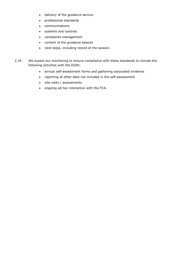- delivery of the guidance service
- professional standards
- communications
- systems and controls
- complaints management
- content of the guidance session
- next steps, including record of the session.
- 2.24 We expect our monitoring to ensure compliance with these standards to include the following activities with the DGPs:
	- annual self-assessment forms and gathering associated evidence
	- reporting of other data not included in the self-assessment
	- site visits / assessments
	- ongoing ad hoc interaction with the FCA.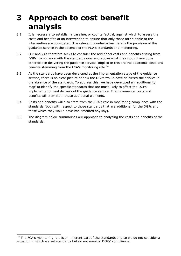# <span id="page-11-0"></span>**3 Approach to cost benefit analysis**

- 3.1 It is necessary to establish a baseline, or counterfactual, against which to assess the costs and benefits of an intervention to ensure that only those attributable to the intervention are considered. The relevant counterfactual here is the provision of the guidance service in the absence of the FCA's standards and monitoring.
- 3.2 Our analysis therefore seeks to consider the additional costs and benefits arising from DGPs' compliance with the standards over and above what they would have done otherwise in delivering the guidance service. Implicit in this are the additional costs and benefits stemming from the FCA's monitoring role.<sup>14</sup>
- 3.3 As the standards have been developed at the implementation stage of the guidance service, there is no clear picture of how the DGPs would have delivered the service in the absence of the standards. To address this, we have developed an 'additionality map' to identify the specific standards that are most likely to affect the DGPs' implementation and delivery of the guidance service. The incremental costs and benefits will stem from these additional elements.
- 3.4 Costs and benefits will also stem from the FCA's role in monitoring compliance with the standards (both with respect to those standards that are additional for the DGPs and those which they would have implemented anyway).
- 3.5 The diagram below summarises our approach to analysing the costs and benefits of the standards.

 $\overline{a}$ 

 $14$  The FCA's monitoring role is an inherent part of the standards and so we do not consider a situation in which we set standards but do not monitor DGPs' compliance.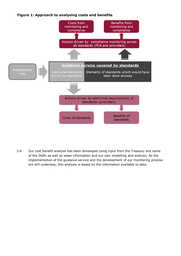



3.6 Our cost benefit analysis has been developed using input from the Treasury and some of the DGPs as well as wider information and our own modelling and analysis. As the implementation of the guidance service and the development of our monitoring process are still underway, this analysis is based on the information available to date.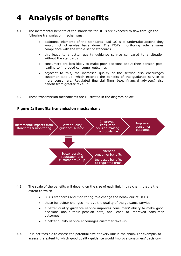# <span id="page-13-0"></span>**4 Analysis of benefits**

- 4.1 The incremental benefits of the standards for DGPs are expected to flow through the following transmission mechanisms:
	- additional elements of the standards lead DGPs to undertake actions they would not otherwise have done. The FCA's monitoring role ensures compliance with the whole set of standards
	- this leads to a better quality guidance service compared to a situation without the standards
	- consumers are less likely to make poor decisions about their pension pots, leading to improved consumer outcomes
	- adjacent to this, the increased quality of the service also encourages customer take-up, which extends the benefits of the guidance service to more consumers. Regulated financial firms (e.g. financial advisers) also benefit from greater take-up.
- 4.2 These transmission mechanisms are illustrated in the diagram below.



#### **Figure 2: Benefits transmission mechanisms**

- 4.3 The scale of the benefits will depend on the size of each link in this chain, that is the extent to which:
	- FCA's standards and monitoring role change the behaviour of DGBs
	- these behaviour changes improve the quality of the guidance service
	- a better quality guidance service improves consumers' ability to make good decisions about their pension pots, and leads to improved consumer outcomes
	- a better quality service encourages customer take-up.
- 4.4 It is not feasible to assess the potential size of every link in the chain. For example, to assess the extent to which good quality guidance would improve consumers' decision-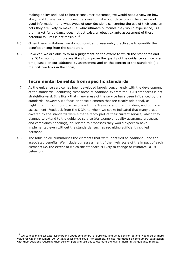making ability and lead to better consumer outcomes, we would need a view on how likely, and to what extent, consumers are to make poor decisions in the absence of good information, and what types of poor decisions concerning the use of their pension pots they are likely to make (i.e. what ultimate outcomes they would experience). As the market for guidance does not yet exist, a robust ex ante assessment of these potential failures is not feasible.<sup>15</sup>

- 4.5 Given these limitations, we do not consider it reasonably practicable to quantify the benefits arising from the standards.
- 4.6 However, we are able to form a judgement on the extent to which the standards and the FCA's monitoring role are likely to improve the quality of the guidance service over time, based on our additionality assessment and on the content of the standards (i.e. the first two links in the chain).

#### **Incremental benefits from specific standards**

- 4.7 As the guidance service has been developed largely concurrently with the development of the standards, identifying clear areas of additionality from the FCA's standards is not straightforward. It is likely that many areas of the service have been influenced by the standards; however, we focus on those elements that are clearly additional, as highlighted through our discussions with the Treasury and the providers, and our own assessment. Feedback from the DGPs to whom we spoke indicated that many areas covered by the standards were either already part of their current service, which they planned to extend to the guidance service (for example, quality assurance processes and complaints handling); or, related to processes they would expect to have implemented even without the standards, such as recruiting sufficiently skilled personnel.
- 4.8 The table below summarises the elements that were identified as additional, and the associated benefits. We include our assessment of the likely scale of the impact of each element; i.e. the extent to which the standard is likely to change or reinforce DGPs' behaviour.

 $\overline{a}$ 

<sup>15</sup> We cannot make *ex ante* assumptions about consumers' preferences and what pension options would be of more value for which consumers. An *ex post* assessment could, for example, collect information on consumers' satisfaction with their decisions regarding their pension pots and use this to estimate the level of harm in the guidance market.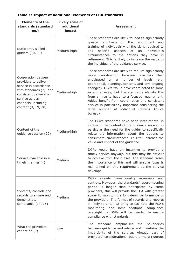### <span id="page-15-0"></span>**Table 1: Impact of additional elements of FCA standards**

| <b>Elements of the</b><br>standards (standard<br>no.)                                                                                                                                     | <b>Likely scale of</b><br>additional<br>impact | <b>Assessment</b>                                                                                                                                                                                                                                                                                                                                                                                                                                                                                                                  |
|-------------------------------------------------------------------------------------------------------------------------------------------------------------------------------------------|------------------------------------------------|------------------------------------------------------------------------------------------------------------------------------------------------------------------------------------------------------------------------------------------------------------------------------------------------------------------------------------------------------------------------------------------------------------------------------------------------------------------------------------------------------------------------------------|
| Sufficiently skilled<br>guiders (10, 11)                                                                                                                                                  | Medium-high                                    | These standards are likely to lead to significantly<br>greater emphasis on the recruitment<br>and<br>training of individuals with the skills required to<br>link<br>specific aspects of an<br>individual's<br>circumstances to the options they have in<br>retirement. This is likely to increase the value to<br>the individual of the guidance service.                                                                                                                                                                          |
| Cooperation between<br>providers to deliver<br>service in accordance<br>with standards (2), and<br>consistent delivery of<br>service across<br>channels, including<br>content (3, 19, 20) | Medium-high                                    | These standards are likely to require significantly<br>coordination<br>between<br>than<br>providers<br>more<br>anticipated on a number of levels<br>(e.g.<br>operational, planning, content, and any ongoing<br>changes). DGPs would have coordinated to some<br>extent anyway, but the standards elevate this<br>from a 'nice to have' to a focused requirement.<br>Added benefit from coordination and consistent<br>service is particularly important considering the<br>large number of individual Citizens Advice<br>bureaux. |
| Content of the<br>guidance session (20)                                                                                                                                                   | Medium-high                                    | The FCA's standards have been instrumental in<br>informing the content of the guidance session, in<br>particular the need for the guider to specifically<br>relate the information about the options to<br>consumers' circumstances. This will increase the<br>value and impact of the guidance.                                                                                                                                                                                                                                   |
| Service available in a<br>timely manner $(4)$                                                                                                                                             | Medium                                         | DGPs would have an incentive to provide a<br>timely service anyway, but this may be difficult<br>to achieve from the outset. The standard raises<br>the importance of this and will ensure focus is<br>maintained on this requirement as the service<br>develops.                                                                                                                                                                                                                                                                  |
| Systems, controls and<br>records to ensure and<br>demonstrate<br>compliance (14, 15)                                                                                                      | Medium                                         | DGPs already have quality assurance<br>and<br>controls. However, the standards' record-keeping<br>period is longer than anticipated by some<br>providers; this will provide the FCA with greater<br>scope to monitor the long-term performance of<br>the providers. The format of records and reports<br>is likely to entail tailoring to facilitate the FCA's<br>monitoring, and some additional compliance<br>oversight by DGPs will be needed to ensure<br>compliance with standards.                                           |
| What the providers<br>cannot do (9)                                                                                                                                                       | Low                                            | emphasises<br>boundaries<br>The<br>standard<br>the<br>between guidance and advice and maintains the<br>impartiality of the service. Already part of<br>providers' considerations, but the more rigorous                                                                                                                                                                                                                                                                                                                            |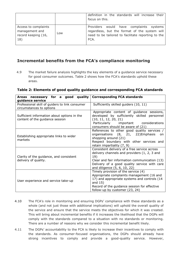|                                                                      |     | definition in the standards will increase their<br>focus on this.                                                                                      |  |  |
|----------------------------------------------------------------------|-----|--------------------------------------------------------------------------------------------------------------------------------------------------------|--|--|
| Access to complaints<br>management and<br>record keeping (16,<br>18) | Low | Providers would have complaints systems<br>regardless, but the format of the system will<br>need to be tailored to facilitate reporting to the<br>FCA. |  |  |

### **Incremental benefits from the FCA's compliance monitoring**

4.9 The market failure analysis highlights the key elements of a guidance service necessary for good consumer outcomes. Table 2 shows how the FCA's standards uphold these areas.

#### **Table 2: Elements of good quality guidance and corresponding FCA standards**

| quality<br>for a<br>good<br>Areas necessary<br>guidance service                | <b>Corresponding FCA standards</b>                                                                                                                                                                                                   |  |  |
|--------------------------------------------------------------------------------|--------------------------------------------------------------------------------------------------------------------------------------------------------------------------------------------------------------------------------------|--|--|
| Professional skill of guiders to link consumer<br>circumstances to options     | Sufficiently skilled guiders (10, 11)                                                                                                                                                                                                |  |  |
| Sufficient information about options in the<br>content of the guidance session | Appropriate content of guidance sessions,<br>developed by sufficiently skilled personnel<br>(10, 11, 12, 20, 21)<br>Particularly important considerations<br>consumers should be aware of (21)                                       |  |  |
| Establishing appropriate links to wider<br>markets                             | References to other good quality services /<br>organisations (8, 21, 22) Emphasis<br>on.<br>shopping around (21)<br>Respect boundary with other services and<br>retain impartiality (7, 9)                                           |  |  |
| Clarity of the guidance, and consistent<br>delivery of quality.                | Consistent delivery of a free service across<br>delivery channels and providers (1, 2, 3 and<br>19)<br>Clear and fair information communication (13)<br>Delivery of a good quality service with care<br>and diligence (5, 6, 10, 22) |  |  |
| User experience and service take-up                                            | Timely provision of the service (4)<br>Appropriate complaints management (16 and<br>17) and appropriate systems and controls (14<br>and $15)$<br>Record of the guidance session for effective<br>follow-up by customer (23, 24)      |  |  |

- 4.10 The FCA's role in monitoring and ensuring DGPs' compliance with these standards as a whole (and not just those with additional implications) will uphold the overall quality of the service and ensure that the service meets the objectives for which it was created. This will bring about incremental benefits if it increases the likelihood that the DGPs will comply with the standards compared to a situation with no standards or monitoring. There are a number of reasons why we consider this incremental benefit likely.
- 4.11 The DGPs' accountability to the FCA is likely to increase their incentives to comply with the standards. As consumer-focused organisations, the DGPs should already have strong incentives to comply and provide a good-quality service. However,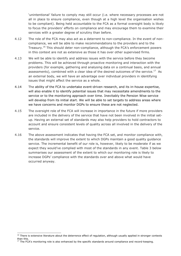'unintentional' failure to comply may still occur (i.e. where necessary processes are not all in place to ensure compliance, even though at a high level the organisation wishes to be compliant). Being held accountable to the FCA as a formal oversight body is likely to focus the providers' efforts on compliance and may encourage them to examine their services with a greater degree of scrutiny than before.

- 4.12 The role of the FCA may also act as a deterrent to non-compliance. In the event of noncompliance, we will be able to make recommendations to the providers and to the Treasury.<sup>16</sup> This should deter non-compliance, although the FCA's enforcement powers in this context are not as extensive as those it has over other supervised firms.
- 4.13 We will be able to identify and address issues with the service before they become problems. This will be achieved through proactive monitoring and interaction with the providers (for example, gathering and analysing data on a continual basis, and annual assessments), combined with a clear idea of the desired outcomes of the service.<sup>17</sup> As an external body, we will have an advantage over individual providers in identifying issues that might affect the service as a whole.
- 4.14 The ability of the FCA to undertake event-driven research, and its in-house expertise, will also enable it to identify potential issues that may necessitate amendments to the service or to the monitoring approach over time. Inevitably the Pension Wise service will develop from its initial start. We will be able to set targets to address areas where we have concerns and monitor DGPs to ensure these are not neglected.
- 4.15 The oversight role of the FCA will increase in importance in the future if more providers are included in the delivery of the service that have not been involved in the initial setup. Having an external set of standards may also help providers to hold contractors to account and ensure consistent levels of quality across all involved in the delivery of the service.
- 4.16 The above assessment indicates that having the FCA set, and monitor compliance with, the standards will improve the extent to which DGPs maintain a good quality guidance service. The incremental benefit of our role is, however, likely to be moderate if as we expect they would've complied with most of the standards in any event. Table 3 below summarises our assessment of the extent to which our monitoring role is likely to increase DGPs' compliance with the standards over and above what would have occurred anyway.

 $\overline{a}$ 

 $16$  There is extensive literature about the deterrence effect of regulation, although usually applied in stronger contexts than this.

 $17$  The FCA's monitoring role is also enhanced by the specific standards around compliance and record-keeping.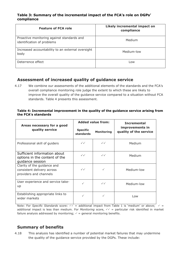#### **Table 3: Summary of the incremental impact of the FCA's role on DGPs' compliance**

| <b>Feature of FCA role</b>                                               | Likely incremental impact on<br>compliance |
|--------------------------------------------------------------------------|--------------------------------------------|
| Proactive monitoring against standards and<br>identification of problems | Medium                                     |
| Increased accountability to an external oversight<br>body                | Medium-low                                 |
| Deterrence effect                                                        | Low                                        |

### **Assessment of increased quality of guidance service**

4.17 We combine our assessments of the additional elements of the standards and the FCA's overall compliance monitoring role judge the extent to which these are likely to improve the overall quality of the guidance service compared to a situation without FCA standards. Table 4 presents this assessment.

#### <span id="page-18-0"></span>**Table 4: Incremental improvement in the quality of the guidance service arising from the FCA's standards**

| Areas necessary for a good                                                          |                              | <b>Added value from:</b> | <b>Incremental</b>                        |  |
|-------------------------------------------------------------------------------------|------------------------------|--------------------------|-------------------------------------------|--|
| quality service                                                                     | <b>Specific</b><br>standards | <b>Monitoring</b>        | improvements in<br>quality of the service |  |
| Professional skill of guiders                                                       | $\checkmark$                 | $\checkmark$             | Medium                                    |  |
| Sufficient information about<br>options in the content of the<br>guidance session   | $\checkmark$                 | $\checkmark$             | Medium                                    |  |
| Clarity of the guidance and<br>consistent delivery across<br>providers and channels | $\checkmark$                 | $\checkmark$             | Medium-low                                |  |
| User experience and service take-<br>up                                             | ✓                            | $\checkmark$             | Medium-low                                |  |
| Establishing appropriate links to<br>wider markets                                  | $\checkmark$                 | ✓                        | Low                                       |  |

Note: For *Specific Standards* score:  $\sqrt{ }$  = additional impact from Table 1 is 'medium' or above;  $\sqrt{ }$  = additional impact is less than medium. For *Monitoring* score,  $\sqrt{ }$  = particular risk identified in market failure analysis addressed by monitoring;  $\checkmark$  = general monitoring benefits.

### **Summary of benefits**

4.18 This analysis has identified a number of potential market failures that may undermine the quality of the guidance service provided by the DGPs. These include: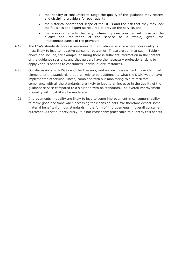- the inability of consumers to judge the quality of the guidance they receive and discipline providers for poor quality
- the historical operational scope of the DGPs and the risk that they may lack the full skills and expertise required to provide the service, and
- the knock-on effects that any failures by one provider will have on the quality and reputation of the service as a whole, given the interconnectedness of the providers.
- 4.19 The FCA's standards address key areas of the guidance service where poor quality is most likely to lead to negative consumer outcomes. These are summarised in [Table 4](#page-18-0) above and include, for example, ensuring there is sufficient information in the content of the guidance sessions, and that guiders have the necessary professional skills to apply various options to consumers' individual circumstances.
- 4.20 Our discussions with DGPs and the Treasury, and our own assessment, have identified elements of the standards that are likely to be additional to what the DGPs would have implemented otherwise. These, combined with our monitoring role to facilitate compliance with all the standards, are likely to lead to an increase in the quality of the guidance service compared to a situation with no standards. The overall improvement in quality will most likely be moderate.
- 4.21 Improvements in quality are likely to lead to some improvement in consumers' ability to make good decisions when accessing their pension pots. We therefore expect some material benefits from our standards in the form of improvements in overall consumer outcomes. As set out previously, it is not reasonably practicable to quantify this benefit.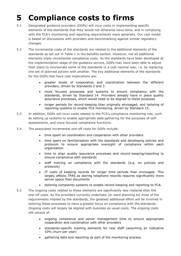# <span id="page-20-0"></span>**5 Compliance costs to firms**

- 5.1 Designated guidance providers (DGPs) will incur costs in implementing specific elements of the standards that they would not otherwise have done, and in complying with the FCA's monitoring and reporting requirements more generally. Our cost model is based on discussions with providers and benchmarking against similar regulatory changes.
- 5.2 The incremental costs of the standards are related to the additional elements of the standards as set out in [Table 1](#page-15-0) in the benefits section. However, not all additional elements imply incremental compliance costs. As the standards have been developed at the implementation stage of the guidance service, DGPs may have been able to adjust their plans to incorporate some of the standards in a cost-neutral way, i.e. by replacing one set of planned actions with another. The key additional elements of the standards for the DGPs that have cost implications are:
	- greater levels of cooperation and coordination between the different providers, driven by Standards 2 and 3
	- more focused processes and systems to ensure compliance with the standards, driven by Standard 14. Providers already have in place quality assurance processes, which would need to be aligned to these purposes
	- longer periods for record-keeping than originally envisaged, and tailoring of reporting systems to enable FCA monitoring, driven by Standard 15.
- 5.3 In addition, DGPs will incur costs related to the FCA's compliance monitoring role, such as setting up systems to enable appropriate data gathering for the purposes of selfassessments, and more focused compliance functions.
- 5.4 The associated incremental one-off costs for DGPs include:
	- time spent on coordination and cooperation with other providers
	- time spent on familiarisation with the standards and developing policies and protocols to ensure appropriate oversight of compliance within each organisation
	- time to align quality assurance processes and record-keeping/reporting to ensure compliance with standards
	- staff training on compliance with the standards (e.g. on policies and protocols)
	- IT costs of keeping records for longer time periods than envisaged. This largely affects TPAS as storing telephone records requires significantly more server space than documents
	- tailoring complaints systems to enable record-keeping and reporting to FCA.
- 5.5 The ongoing costs related to these elements are significantly less material than the one-off costs. As the providers currently undertake (or were planning to) most of the requirements implied by the standards, the greatest additional effort will be involved in tailoring these processes to have a greater focus on compliance with the standards. Ongoing costs will largely be aligned with business as usual costs. The ongoing costs will consist of:
	- ongoing compliance and senior management time to ensure appropriate cooperation and coordination with other providers
	- standards-specific training elements for new staff (assuming an indicative 10% churn per year)
	- gathering data and reporting as part of the monitoring process.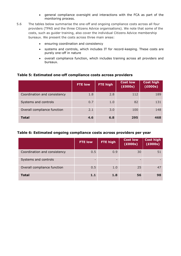- general compliance oversight and interactions with the FCA as part of the monitoring process.
- 5.6 The tables below summarise the one-off and ongoing compliance costs across all four providers (TPAS and the three Citizens Advice organisations). We note that some of the costs, such as guider training, also cover the individual Citizens Advice membership bureaux. We present the costs across three main areas:
	- ensuring coordination and consistency
	- systems and controls, which includes IT for record-keeping. These costs are purely one-off in nature
	- overall compliance function, which includes training across all providers and bureaux.

#### **Table 5: Estimated one-off compliance costs across providers**

|                              | <b>FTE low</b> | FTE high | <b>Cost low</b><br>(£000s) | <b>Cost high</b><br>(£000s) |
|------------------------------|----------------|----------|----------------------------|-----------------------------|
| Coordination and consistency | 1.8            | 2.8      | 112                        | 189                         |
| Systems and controls         | 0.7            | 1.0      | 82                         | 131                         |
| Overall compliance function  | 2.1            | 3.0      | 100                        | 148                         |
| <b>Total</b>                 | 4.6            | 6.8      | 295                        | 468                         |

#### **Table 6: Estimated ongoing compliance costs across providers per year**

|                              | <b>FTE low</b> | <b>FTE high</b> | <b>Cost low</b><br>(£000s) | <b>Cost high</b><br>(£000s) |
|------------------------------|----------------|-----------------|----------------------------|-----------------------------|
| Coordination and consistency | 0.5            | 0.9             | 30                         | 51                          |
| Systems and controls         |                | -               |                            |                             |
| Overall compliance function  | 0.5            | 1.0             | 25                         | 47                          |
| <b>Total</b>                 | 1.1            | 1.8             | 56                         | 98                          |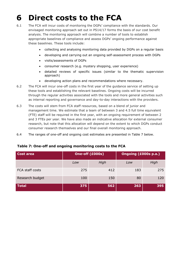# <span id="page-22-0"></span>**6 Direct costs to the FCA**

- 6.1 The FCA will incur costs of monitoring the DGPs' compliance with the standards. Our envisaged monitoring approach set out in PS14/17 forms the basis of our cost benefit analysis. The monitoring approach will combine a number of tools to establish appropriate baselines of compliance and assess DGPs' ongoing performance against these baselines. These tools include:
	- collecting and analysing monitoring data provided by DGPs on a regular basis
	- developing and carrying out an ongoing self-assessment process with DGPs
	- visits/assessments of DGPs
	- consumer research (e.g. mystery shopping, user experience)
	- detailed reviews of specific issues (similar to the thematic supervision approach)
	- developing action plans and recommendations where necessary.
- 6.2 The FCA will incur one-off costs in the first year of the guidance service of setting up these tools and establishing the relevant baselines. Ongoing costs will be incurred through the regular activities associated with the tools and more general activities such as internal reporting and governance and day-to-day interactions with the providers.
- 6.3 The costs will stem from FCA staff resources, based on a blend of junior and management time. We estimate that a team of between 3 and 4.5 full time equivalent (FTE) staff will be required in the first year, with an ongoing requirement of between 2 and 3 FTEs per year. We have also made an indicative allocation for external consumer research, but note that this allocation will depend on the extent to which DGPs conduct consumer research themselves and our final overall monitoring approach.
- 6.4 The ranges of one-off and ongoing cost estimates are presented in Table 7 below.

| Cost area       | One-off (£000s) |      | Ongoing (£000s p.a.) |      |
|-----------------|-----------------|------|----------------------|------|
|                 | Low             | High | Low                  | High |
| FCA staff costs | 275             | 412  | 183                  | 275  |
| Research budget | 100             | 150  | 80                   | 120  |
| <b>Total</b>    | 375             | 562  | 263                  | 395  |

#### **Table 7: One-off and ongoing monitoring costs to the FCA**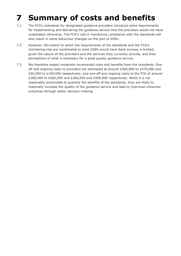# <span id="page-23-0"></span>**7 Summary of costs and benefits**

- 7.1 The FCA's standards for designated guidance providers introduce some requirements for implementing and delivering the guidance service that the providers would not have undertaken otherwise. The FCA's role in monitoring compliance with the standards will also result in some behaviour changes on the part of DGPs.
- 7.2 However, the extent to which the requirements of the standards and the FCA's monitoring role are incremental to what DGPs would have done anyway is limited, given the nature of the providers and the services they currently provide, and their perceptions of what is necessary for a good quality guidance service.
- 7.3 We therefore expect moderate incremental costs and benefits from the standards. Oneoff and ongoing costs to providers are estimated at around £300,000 to £470,000 and £60,000 to £100,000 respectively; and one-off and ongoing costs to the FCA at around £380,000 to £560,000 and £260,000 and £400,000 respectively. While it is not reasonably practicable to quantify the benefits of the standards, they are likely to materially increase the quality of the guidance service and lead to improved consumer outcomes through better decision-making.